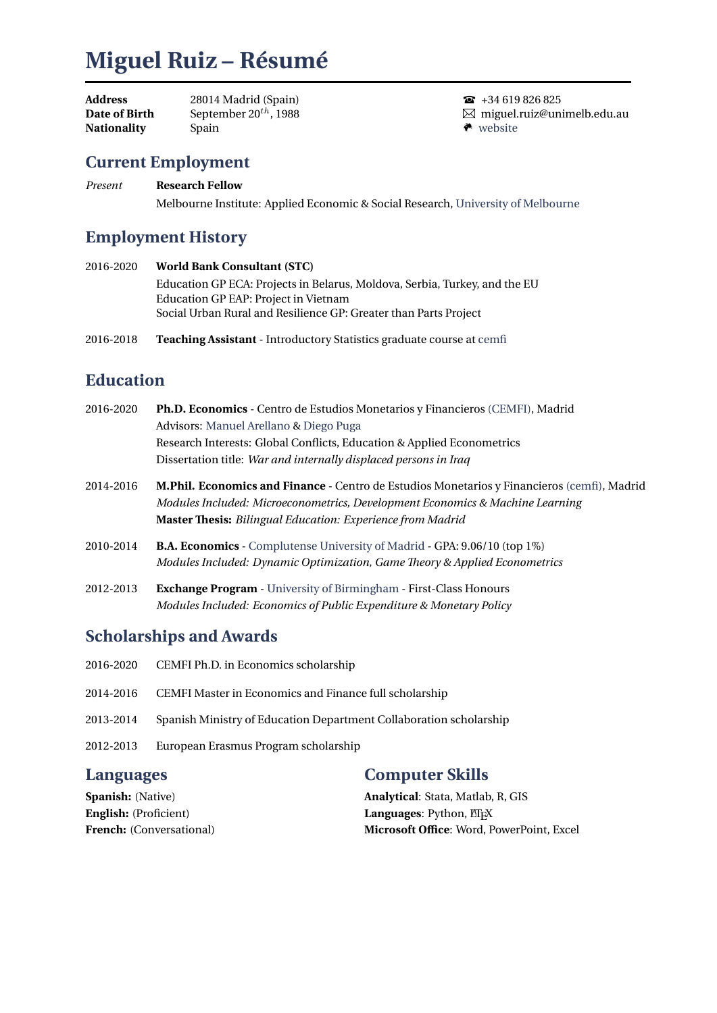# **Miguel Ruiz – Résumé**

| Address              | 28014 Madrid (Spain)       |
|----------------------|----------------------------|
| <b>Date of Birth</b> | September $20^{th}$ , 1988 |
| Nationality          | Spain                      |

 $\bullet$  +34 619 826 825 miguel.ruiz@unimelb.edu.au  $\bullet$  [website](https://sites.google.com/view/mruizs)

### **Current Employment**

*Present* **Research Fellow** Melbourne Institute: Applied Economic & Social Research, [University of Melbourne](https://www.unimelb.edu.au/)

# **Employment History**

- 2016-2020 **World Bank Consultant (STC)** Education GP ECA: Projects in Belarus, Moldova, Serbia, Turkey, and the EU Education GP EAP: Project in Vietnam Social Urban Rural and Resilience GP: Greater than Parts Project
- 2016-2018 **Teaching Assistant** Introductory Statistics graduate course at [cemfi](http://www.cemfi.es/)

# **Education**

| 2016-2020 | Ph.D. Economics - Centro de Estudios Monetarios y Financieros (CEMFI), Madrid                                                                                                                                                                            |
|-----------|----------------------------------------------------------------------------------------------------------------------------------------------------------------------------------------------------------------------------------------------------------|
|           | Advisors: Manuel Arellano & Diego Puga                                                                                                                                                                                                                   |
|           | Research Interests: Global Conflicts, Education & Applied Econometrics                                                                                                                                                                                   |
|           | Dissertation title: War and internally displaced persons in Iraq                                                                                                                                                                                         |
| 2014-2016 | <b>M.Phil. Economics and Finance - Centro de Estudios Monetarios y Financieros (cemfi), Madrid</b><br>Modules Included: Microeconometrics, Development Economics & Machine Learning<br><b>Master Thesis:</b> Bilingual Education: Experience from Madrid |
| 2010-2014 | <b>B.A. Economics</b> - Complutense University of Madrid - GPA: 9.06/10 (top 1%)<br>Modules Included: Dynamic Optimization, Game Theory & Applied Econometrics                                                                                           |
| 2012-2013 | <b>Exchange Program</b> - University of Birmingham - First-Class Honours<br>Modules Included: Economics of Public Expenditure & Monetary Policy                                                                                                          |

#### **Scholarships and Awards**

| <b>Computer Skills</b><br><b>Languages</b> |                                                                    |
|--------------------------------------------|--------------------------------------------------------------------|
| 2012-2013                                  | European Erasmus Program scholarship                               |
| 2013-2014                                  | Spanish Ministry of Education Department Collaboration scholarship |
| 2014-2016                                  | CEMFI Master in Economics and Finance full scholarship             |
| 2016-2020                                  | CEMFI Ph.D. in Economics scholarship                               |

**Spanish:** (Native) **English:** (Proficient) **French:** (Conversational)

**Analytical**: Stata, Matlab, R, GIS **Languages**: Python, ET<sub>E</sub>X **Microsoft Office**: Word, PowerPoint, Excel